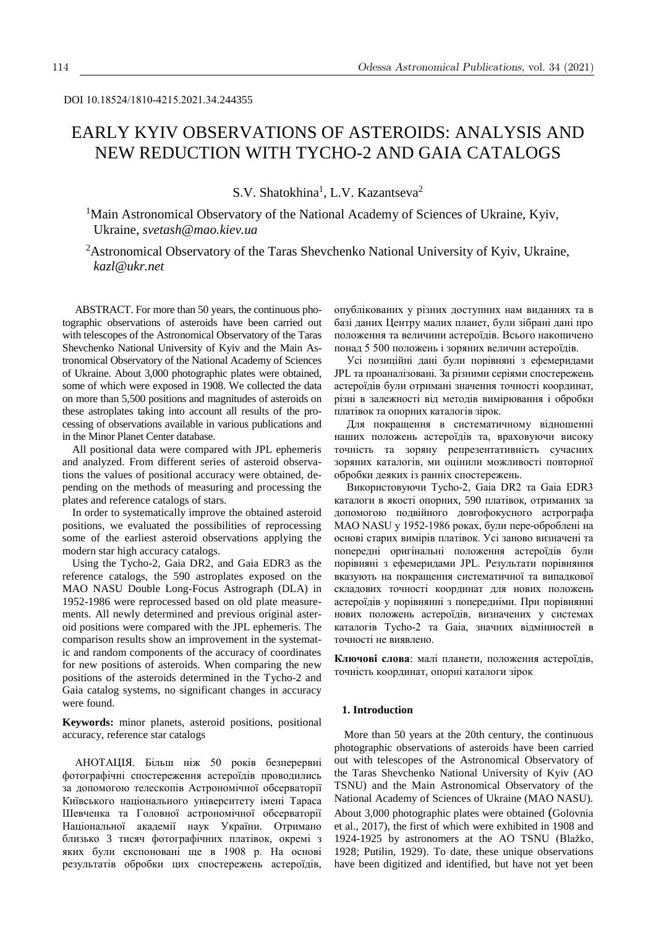# EARLY KYIV OBSERVATIONS OF ASTEROIDS: ANALYSIS AND NEW REDUCTION WITH TYCHO-2 AND GAIA CATALOGS

S.V. Shatokhina<sup>1</sup>, L.V. Kazantseva<sup>2</sup>

<sup>1</sup>Main Astronomical Observatory of the National Academy of Sciences of Ukraine, Kyiv, Ukraine, *svetash@mao.kiev.ua*

<sup>2</sup>Astronomical Observatory of the Taras Shevchenko National University of Kyiv, Ukraine, *kazl@ukr.net*

ABSTRACT. For more than 50 years, the continuous photographic observations of asteroids have been carried out with telescopes of the Astronomical Observatory of the Taras Shevchenko National University of Kyiv and the Main Astronomical Observatory of the National Academy of Sciences of Ukraine. About 3,000 photographic plates were obtained, some of which were exposed in 1908. We collected the data on more than 5,500 positions and magnitudes of asteroids on these astroplates taking into account all results of the processing of observations available in various publications and in the Minor Planet Center database.

All positional data were compared with JPL ephemeris and analyzed. From different series of asteroid observations the values of positional accuracy were obtained, depending on the methods of measuring and processing the plates and reference catalogs of stars.

In order to systematically improve the obtained asteroid positions, we evaluated the possibilities of reprocessing some of the earliest asteroid observations applying the modern star high accuracy catalogs.

Using the Tycho-2, Gaia DR2, and Gaia EDR3 as the reference catalogs, the 590 astroplates exposed on the MAO NASU Double Long-Focus Astrograph (DLA) in 1952-1986 were reprocessed based on old plate measurements. All newly determined and previous original asteroid positions were compared with the JPL ephemeris. The comparison results show an improvement in the systematic and random components of the accuracy of coordinates for new positions of asteroids. When comparing the new positions of the asteroids determined in the Tycho-2 and Gaia catalog systems, no significant changes in accuracy were found.

**Keywords:** minor planets, asteroid positions, positional accuracy, reference star catalogs

АНОТАЦІЯ. Більш ніж 50 років безперервні фотографічні спостереження астероїдів проводились за допомогою телескопів Астрономічної обсерваторії Київського національного університету імені Тараса Шевченка та Головної астрономічної обсерваторії Національної академії наук України. Отримано близько 3 тисяч фотографічних платівок, окремі з яких були експоновані ще в 1908 р. На основі результатів обробки цих спостережень астероїдів,

опублікованих у різних доступних нам виданнях та в базі даних Центру малих планет, були зібрані дані про положення та величини астероїдів. Всього накопичено понад 5 500 положень і зоряних величин астероїдів.

Усі позиційні дані були порівняні з ефемеридами JPL та проаналізовані. За різними серіями спостережень астероїдів були отримані значення точності координат, різні в залежності від методів вимірювання і обробки платівок та опорних каталогів зірок.

Для покращення в систематичному відношенні наших положень астероїдів та, враховуючи високу точність та зоряну репрезентативність сучасних зоряних каталогів, ми оцінили можливості повторної обробки деяких із ранніх спостережень.

Використовуючи Tycho-2, Gaia DR2 та Gaia EDR3 каталоги в якості опорних, 590 платівок, отриманих за допомогою подвійного довгофокусного астрографа MAO NASU у 1952-1986 роках, були пере-оброблені на основі старих вимірів платівок. Усі заново визначені та попередні оригінальні положення астероїдів були порівняні з ефемеридами JPL. Результати порівняння вказують на покращення систематичної та випадкової складових точності координат для нових положень астероїдів у порівнянні з попередніми. При порівнянні нових положень астероїдів, визначених у системах каталогів Tycho-2 та Gaia, значних відмінностей в точності не виявлено.

**Ключові слова**: малі планети, положення астероїдів, точність координат, опорні каталоги зірок

## **1. Introduction**

More than 50 years at the 20th century, the continuous photographic observations of asteroids have been carried out with telescopes of the Astronomical Observatory of the Taras Shevchenko National University of Kyiv (AO TSNU) and the Main Astronomical Observatory of the National Academy of Sciences of Ukraine (MAO NASU). About 3,000 photographic plates were obtained (Golovnia et al., 2017), the first of which were exhibited in 1908 and 1924-1925 by astronomers at the AO TSNU (Blažko, 1928; Putilin, 1929). To date, these unique observations have been digitized and identified, but have not yet been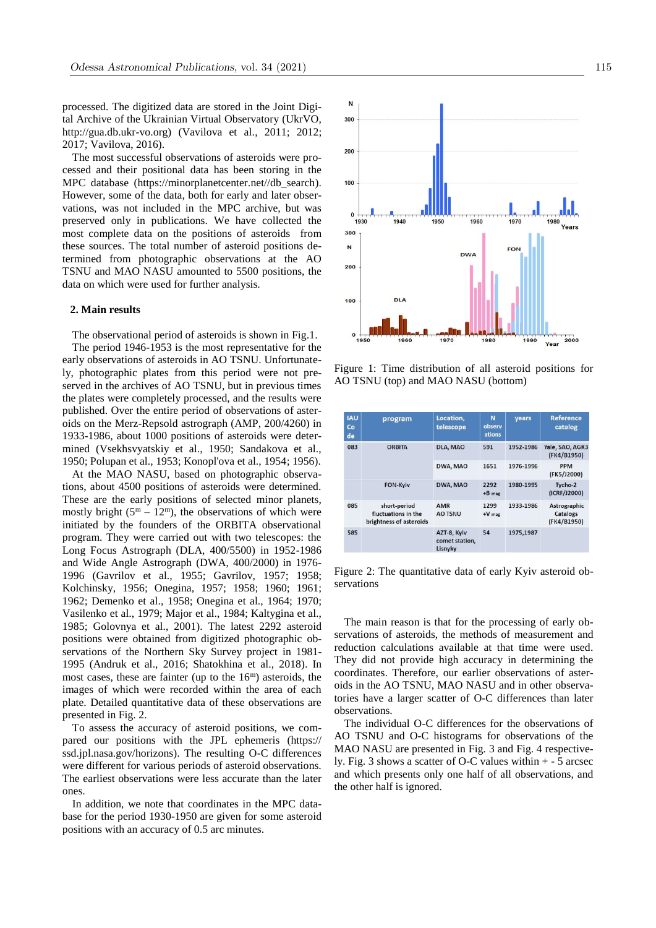processed. The digitized data are stored in the Joint Digital Archive of the Ukrainian Virtual Observatory (UkrVO, http://gua.db.ukr-vo.org) (Vavilova et al., 2011; 2012; 2017; Vavilova, 2016).

The most successful observations of asteroids were processed and their positional data has been storing in the MPC database (https://minorplanetcenter.net//db\_search). However, some of the data, both for early and later observations, was not included in the MPC archive, but was preserved only in publications. We have collected the most complete data on the positions of asteroids from these sources. The total number of asteroid positions determined from photographic observations at the AO TSNU and MAO NASU amounted to 5500 positions, the data on which were used for further analysis.

## **2. Main results**

The observational period of asteroids is shown in Fig.1. The period 1946-1953 is the most representative for the early observations of asteroids in AO TSNU. Unfortunately, photographic plates from this period were not preserved in the archives of AO TSNU, but in previous times the plates were completely processed, and the results were published. Over the entire period of observations of asteroids on the Merz-Repsold astrograph (AMP, 200/4260) in 1933-1986, about 1000 positions of asteroids were determined (Vsekhsvyatskiy et al., 1950; Sandakova et al., 1950; Polupan et al., 1953; Konopl'ova et al., 1954; 1956).

At the MAO NASU, based on photographic observations, about 4500 positions of asteroids were determined. These are the early positions of selected minor planets, mostly bright  $(5^m - 12^m)$ , the observations of which were initiated by the founders of the ORBITA observational program. They were carried out with two telescopes: the Long Focus Astrograph (DLA, 400/5500) in 1952-1986 and Wide Angle Astrograph (DWA, 400/2000) in 1976- 1996 (Gavrilov et al., 1955; Gavrilov, 1957; 1958; Kolchinsky, 1956; Onegina, 1957; 1958; 1960; 1961; 1962; Demenko et al., 1958; Onegina et al., 1964; 1970; Vasilenko et al., 1979; Major et al., 1984; Kaltygina et al., 1985; Golovnya et al., 2001). The latest 2292 asteroid positions were obtained from digitized photographic observations of the Northern Sky Survey project in 1981- 1995 (Andruk et al., 2016; Shatokhina et al., 2018). In most cases, these are fainter (up to the  $16<sup>m</sup>$ ) asteroids, the images of which were recorded within the area of each plate. Detailed quantitative data of these observations are presented in Fig. 2.

To assess the accuracy of asteroid positions, we compared our positions with the JPL ephemeris (https:// ssd.jpl.nasa.gov/horizons). The resulting O-C differences were different for various periods of asteroid observations. The earliest observations were less accurate than the later ones.

In addition, we note that coordinates in the MPC database for the period 1930-1950 are given for some asteroid positions with an accuracy of 0.5 arc minutes.



Figure 1: Time distribution of all asteroid positions for AO TSNU (top) and MAO NASU (bottom)

| <b>IAU</b><br>Co<br>de | program                                                        | Location,<br>telescope                   | N<br>observ<br>ations | years     | <b>Reference</b><br>catalog             |
|------------------------|----------------------------------------------------------------|------------------------------------------|-----------------------|-----------|-----------------------------------------|
| 083                    | ORBITA                                                         | DLA, MAO                                 | 591                   | 1952-1986 | Yale, SAO, AGK3<br>(FK4/B1950)          |
|                        |                                                                | DWA, MAO                                 | 1651                  | 1976-1996 | <b>PPM</b><br>(FK5/J2000)               |
|                        | <b>FON-Kviv</b>                                                | DWA, MAO                                 | 2292<br>$+B$ mag      | 1980-1995 | Tycho-2<br>(ICRF/J2000)                 |
| 085                    | short-period<br>fluctuations in the<br>brightness of asteroids | <b>AMR</b><br><b>AO TSNU</b>             | 1299<br>$+V$ mag      | 1933-1986 | Astrographic<br>Catalogs<br>(FK4/B1950) |
| 585                    |                                                                | AZT-8, Kyiv<br>comet station,<br>Lisnyky | 54                    | 1975,1987 |                                         |

Figure 2: The quantitative data of early Kyiv asteroid observations

The main reason is that for the processing of early observations of asteroids, the methods of measurement and reduction calculations available at that time were used. They did not provide high accuracy in determining the coordinates. Therefore, our earlier observations of asteroids in the AO TSNU, MAO NASU and in other observatories have a larger scatter of O-C differences than later observations.

The individual O-C differences for the observations of AO TSNU and O-C histograms for observations of the MAO NASU are presented in Fig. 3 and Fig. 4 respectively. Fig. 3 shows a scatter of O-C values within + - 5 arcsec and which presents only one half of all observations, and the other half is ignored.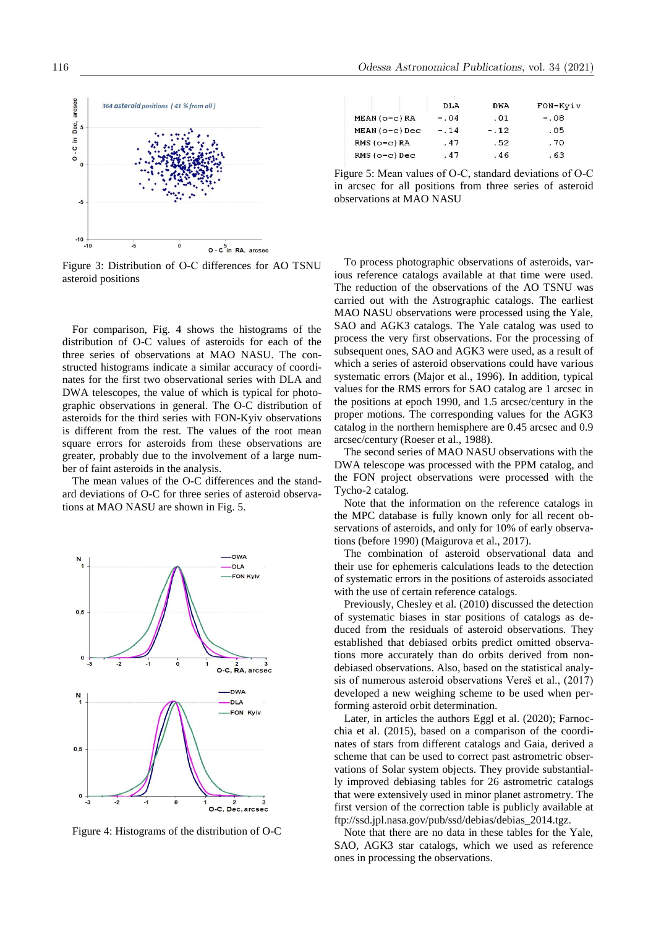

Figure 3: Distribution of О-С differences for AO TSNU asteroid positions

For comparison, Fig. 4 shows the histograms of the distribution of O-C values of asteroids for each of the three series of observations at MAO NASU. The constructed histograms indicate a similar accuracy of coordinates for the first two observational series with DLA and DWA telescopes, the value of which is typical for photographic observations in general. The O-C distribution of asteroids for the third series with FON-Kyiv observations is different from the rest. The values of the root mean square errors for asteroids from these observations are greater, probably due to the involvement of a large number of faint asteroids in the analysis.

The mean values of the O-C differences and the standard deviations of O-C for three series of asteroid observations at MAO NASU are shown in Fig. 5.



Figure 4: Histograms of the distribution of O-C

|                  | <b>DLA</b> | DWA    | FON-Kyiv |
|------------------|------------|--------|----------|
| $MEAN (o-c) RA$  | $-.04$     | .01    | $-.08$   |
| $MEAN (o-c) Dec$ | $-.14$     | $-.12$ | .05      |
| $RMS$ (o-c) $RA$ | .47        | .52    | .70      |
| $RMS$ (o-c) Dec  | .47        | .46    | . 63     |

Figure 5: Mean values of О-С, standard deviations of О-С in arcsec for all positions from three series of asteroid observations at MAO NASU

To process photographic observations of asteroids, various reference catalogs available at that time were used. The reduction of the observations of the AO TSNU was carried out with the Astrographic catalogs. The earliest MAO NASU observations were processed using the Yale, SAO and AGK3 catalogs. The Yale catalog was used to process the very first observations. For the processing of subsequent ones, SAO and AGK3 were used, as a result of which a series of asteroid observations could have various systematic errors (Major et al., 1996). In addition, typical values for the RMS errors for SAO catalog are 1 arcsec in the positions at epoch 1990, and 1.5 arcsec/century in the proper motions. The corresponding values for the AGK3 catalog in the northern hemisphere are 0.45 arcsec and 0.9 arcsec/century (Roeser et al., 1988).

The second series of MAO NASU observations with the DWA telescope was processed with the PPM catalog, and the FON project observations were processed with the Tycho-2 catalog.

Note that the information on the reference catalogs in the MPC database is fully known only for all recent observations of asteroids, and only for 10% of early observations (before 1990) (Maigurova et al., 2017).

The combination of asteroid observational data and their use for ephemeris calculations leads to the detection of systematic errors in the positions of asteroids associated with the use of certain reference catalogs.

Previously, Chesley et al. (2010) discussed the detection of systematic biases in star positions of catalogs as deduced from the residuals of asteroid observations. They established that debiased orbits predict omitted observations more accurately than do orbits derived from nondebiased observations. Also, based on the statistical analysis of numerous asteroid observations Vereš et al., (2017) developed a new weighing scheme to be used when performing asteroid orbit determination.

Later, in articles the authors Eggl et al. (2020); Farnocchia et al. (2015), based on a comparison of the coordinates of stars from different catalogs and Gaia, derived a scheme that can be used to correct past astrometric observations of Solar system objects. They provide substantially improved debiasing tables for 26 astrometric catalogs that were extensively used in minor planet astrometry. The first version of the correction table is publicly available at ftp://ssd.jpl.nasa.gov/pub/ssd/debias/debias\_2014.tgz.

Note that there are no data in these tables for the Yale, SAO, AGK3 star catalogs, which we used as reference ones in processing the observations.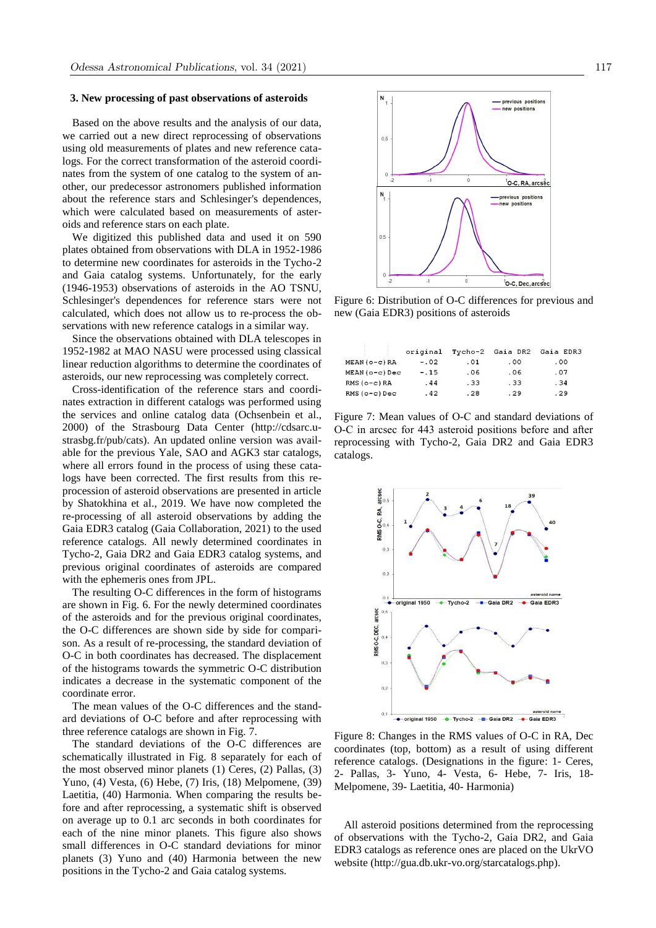#### **3. New processing of past observations of asteroids**

Based on the above results and the analysis of our data, we carried out a new direct reprocessing of observations using old measurements of plates and new reference catalogs. For the correct transformation of the asteroid coordinates from the system of one catalog to the system of another, our predecessor astronomers published information about the reference stars and Schlesinger's dependences, which were calculated based on measurements of asteroids and reference stars on each plate.

We digitized this published data and used it on 590 plates obtained from observations with DLA in 1952-1986 to determine new coordinates for asteroids in the Tycho-2 and Gaia catalog systems. Unfortunately, for the early (1946-1953) observations of asteroids in the AO TSNU, Schlesinger's dependences for reference stars were not calculated, which does not allow us to re-process the observations with new reference catalogs in a similar way.

Since the observations obtained with DLA telescopes in 1952-1982 at MAO NASU were processed using classical linear reduction algorithms to determine the coordinates of asteroids, our new reprocessing was completely correct.

Cross-identification of the reference stars and coordinates extraction in different catalogs was performed using the services and online catalog data (Ochsenbein et al., 2000) of the Strasbourg Data Center (http://cdsarc.ustrasbg.fr/pub/cats). An updated online version was available for the previous Yale, SAO and AGK3 star catalogs, where all errors found in the process of using these catalogs have been corrected. The first results from this reprocession of asteroid observations are presented in article by Shatokhina et al., 2019. We have now completed the re-processing of all asteroid observations by adding the Gaia EDR3 catalog (Gaia Collaboration, 2021) to the used reference catalogs. All newly determined coordinates in Tycho-2, Gaia DR2 and Gaia EDR3 catalog systems, and previous original coordinates of asteroids are compared with the ephemeris ones from JPL.

The resulting O-C differences in the form of histograms are shown in Fig. 6. For the newly determined coordinates of the asteroids and for the previous original coordinates, the O-C differences are shown side by side for comparison. As a result of re-processing, the standard deviation of O-C in both coordinates has decreased. The displacement of the histograms towards the symmetric O-C distribution indicates a decrease in the systematic component of the coordinate error.

The mean values of the O-C differences and the standard deviations of O-C before and after reprocessing with three reference catalogs are shown in Fig. 7.

The standard deviations of the O-C differences are schematically illustrated in Fig. 8 separately for each of the most observed minor planets (1) Ceres, (2) Pallas, (3) Yuno, (4) Vesta, (6) Hebe, (7) Iris, (18) Melpomene, (39) Laetitia, (40) Harmonia. When comparing the results before and after reprocessing, a systematic shift is observed on average up to 0.1 arc seconds in both coordinates for each of the nine minor planets. This figure also shows small differences in O-C standard deviations for minor planets (3) Yuno and (40) Harmonia between the new positions in the Tycho-2 and Gaia catalog systems.



Figure 6: Distribution of O-C differences for previous and new (Gaia EDR3) positions of asteroids

|                  | original | Tycho-2 | Gaia DR2 | Gaia EDR3 |
|------------------|----------|---------|----------|-----------|
| $MEAN (o-c) RA$  | $-.02$   | . 01    | .00      | .00       |
| $MEAN (o-c) Dec$ | $-.15$   | .06     | .06      | .07       |
| $RMS(O-c)RA$     | .44      | .33     | .33      | .34       |
| $RMS$ (o-c) Dec  | .42      | .28     | .29      | .29       |

Figure 7: Mean values of О-С and standard deviations of О-С in arcsec for 443 asteroid positions before and after reprocessing with Tycho-2, Gaia DR2 and Gaia EDR3 catalogs.



Figure 8: Changes in the RMS values of O-C in RA, Dec coordinates (top, bottom) as a result of using different reference catalogs. (Designations in the figure: 1- Ceres, 2- Pallas, 3- Yuno, 4- Vesta, 6- Hebe, 7- Iris, 18- Melpomene, 39- Laetitia, 40- Harmonia)

All asteroid positions determined from the reprocessing of observations with the Tycho-2, Gaia DR2, and Gaia EDR3 catalogs as reference ones are placed on the UkrVO website (http://gua.db.ukr-vo.org/starcatalogs.php).